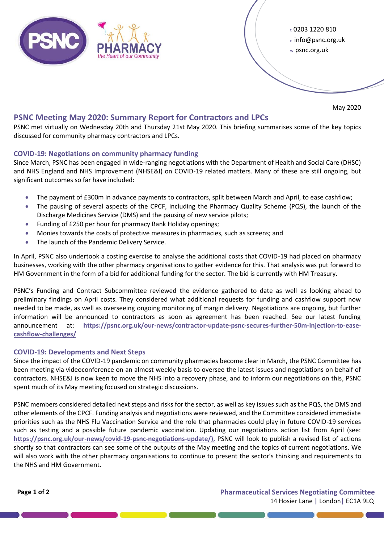

<sup>t</sup>0203 1220 810 e info@psnc.org.uk <sup>w</sup>psnc.org.uk

May 2020

# **PSNC Meeting May 2020: Summary Report for Contractors and LPCs**

PSNC met virtually on Wednesday 20th and Thursday 21st May 2020. This briefing summarises some of the key topics discussed for community pharmacy contractors and LPCs.

## **COVID-19: Negotiations on community pharmacy funding**

Since March, PSNC has been engaged in wide-ranging negotiations with the Department of Health and Social Care (DHSC) and NHS England and NHS Improvement (NHSE&I) on COVID-19 related matters. Many of these are still ongoing, but significant outcomes so far have included:

- The payment of £300m in advance payments to contractors, split between March and April, to ease cashflow;
- The pausing of several aspects of the CPCF, including the Pharmacy Quality Scheme (PQS), the launch of the Discharge Medicines Service (DMS) and the pausing of new service pilots;
- Funding of £250 per hour for pharmacy Bank Holiday openings;
- Monies towards the costs of protective measures in pharmacies, such as screens; and
- The launch of the Pandemic Delivery Service.

In April, PSNC also undertook a costing exercise to analyse the additional costs that COVID-19 had placed on pharmacy businesses, working with the other pharmacy organisations to gather evidence for this. That analysis was put forward to HM Government in the form of a bid for additional funding for the sector. The bid is currently with HM Treasury.

PSNC's Funding and Contract Subcommittee reviewed the evidence gathered to date as well as looking ahead to preliminary findings on April costs. They considered what additional requests for funding and cashflow support now needed to be made, as well as overseeing ongoing monitoring of margin delivery. Negotiations are ongoing, but further information will be announced to contractors as soon as agreement has been reached. See our latest funding announcement at: **[https://psnc.org.uk/our-news/contractor-update-psnc-secures-further-50m-injection-to-ease](https://psnc.org.uk/our-news/contractor-update-psnc-secures-further-50m-injection-to-ease-cashflow-challenges/)[cashflow-challenges/](https://psnc.org.uk/our-news/contractor-update-psnc-secures-further-50m-injection-to-ease-cashflow-challenges/)**

### **COVID-19: Developments and Next Steps**

Since the impact of the COVID-19 pandemic on community pharmacies become clear in March, the PSNC Committee has been meeting via videoconference on an almost weekly basis to oversee the latest issues and negotiations on behalf of contractors. NHSE&I is now keen to move the NHS into a recovery phase, and to inform our negotiations on this, PSNC spent much of its May meeting focused on strategic discussions.

PSNC members considered detailed next steps and risks for the sector, as well as key issues such as the PQS, the DMS and other elements of the CPCF. Funding analysis and negotiations were reviewed, and the Committee considered immediate priorities such as the NHS Flu Vaccination Service and the role that pharmacies could play in future COVID-19 services such as testing and a possible future pandemic vaccination. Updating our negotiations action list from April (see: **[https://psnc.org.uk/our-news/covid-19-psnc-negotiations-update/\),](https://psnc.org.uk/our-news/covid-19-psnc-negotiations-update/),)** PSNC will look to publish a revised list of actions shortly so that contractors can see some of the outputs of the May meeting and the topics of current negotiations. We will also work with the other pharmacy organisations to continue to present the sector's thinking and requirements to the NHS and HM Government.

**Page 1 of 2 Pharmaceutical Services Negotiating Committee** 14 Hosier Lane **|** London**|** EC1A 9LQ